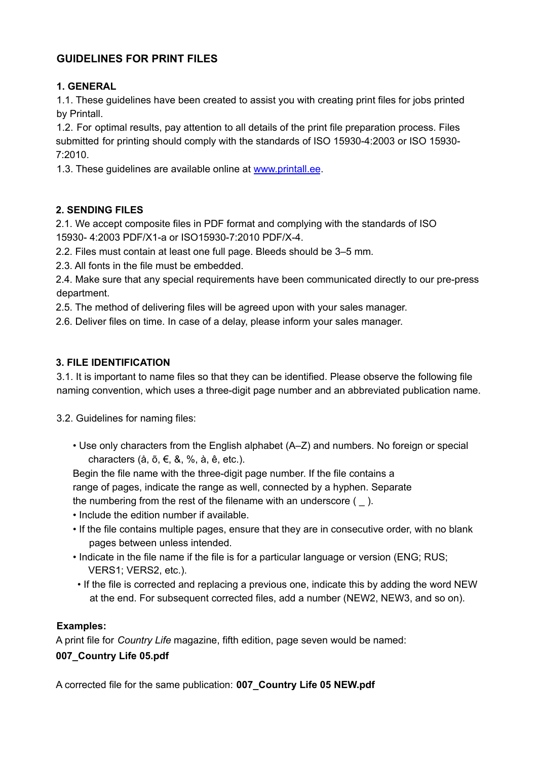# **GUIDELINES FOR PRINT FILES**

### **1. GENERAL**

1.1. These guidelines have been created to assist you with creating print files for jobs printed by Printall.

1.2. For optimal results, pay attention to all details of the print file preparation process. Files submitted for printing should comply with the standards of ISO 15930-4:2003 or ISO 15930-  $7:2010$ 

1.3. These guidelines are available online at www.printall.ee.

### **2. SENDING FILES**

2.1. We accept composite files in PDF format and complying with the standards of ISO 15930- 4:2003 PDF/X1-a or ISO15930-7:2010 PDF/X-4.

2.2. Files must contain at least one full page. Bleeds should be 3–5 mm*.*

2.3. All fonts in the file must be embedded.

2.4. Make sure that any special requirements have been communicated directly to our pre-press department.

2.5. The method of delivering files will be agreed upon with your sales manager.

2.6. Deliver files on time. In case of a delay, please inform your sales manager.

### **3. FILE IDENTIFICATION**

3.1. It is important to name files so that they can be identified. Please observe the following file naming convention, which uses a three-digit page number and an abbreviated publication name.

3.2. Guidelines for naming files:

• Use only characters from the English alphabet (A–Z) and numbers. No foreign or special characters ( $a, \tilde{b}, \tilde{\epsilon}, \& %$ ,  $\tilde{a}, \tilde{e}, \text{etc.}$ ).

Begin the file name with the three-digit page number. If the file contains a range of pages, indicate the range as well, connected by a hyphen. Separate the numbering from the rest of the filename with an underscore  $($   $)$ .

- Include the edition number if available.
- If the file contains multiple pages, ensure that they are in consecutive order, with no blank pages between unless intended.
- Indicate in the file name if the file is for a particular language or version (ENG; RUS; VERS1; VERS2, etc.).
- If the file is corrected and replacing a previous one, indicate this by adding the word NEW at the end. For subsequent corrected files, add a number (NEW2, NEW3, and so on).

#### **Examples:**

A print file for *Country Life* magazine, fifth edition, page seven would be named: **007\_Country Life 05.pdf**

A corrected file for the same publication: **007\_Country Life 05 NEW.pdf**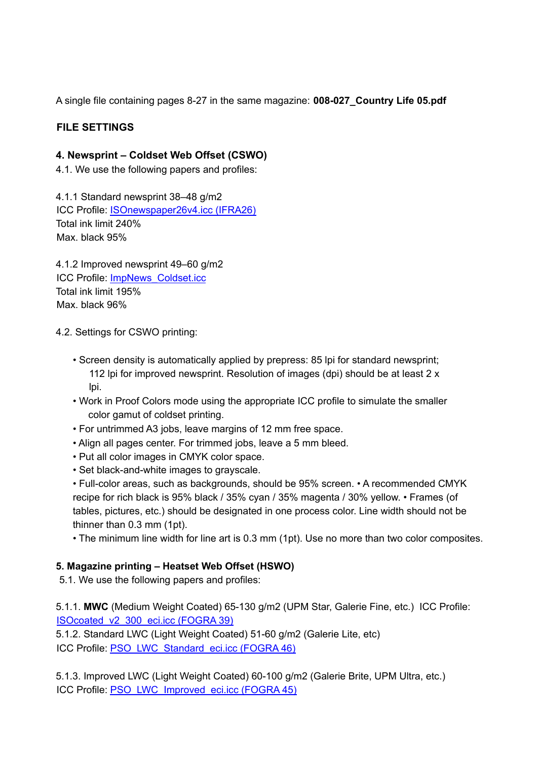A single file containing pages 8-27 in the same magazine: **008-027\_Country Life 05.pdf**

# **FILE SETTINGS**

### **4. Newsprint – Coldset Web Offset (CSWO)**

4.1. We use the following papers and profiles:

4.1.1 Standard newsprint 38–48 g/m2 ICC Profile: ISOnewspaper26v4.icc (IFRA26) Total ink limit 240% Max. black 95%

4.1.2 Improved newsprint 49–60 g/m2 ICC Profile: ImpNews\_Coldset.icc Total ink limit 195% Max. black 96%

4.2. Settings for CSWO printing:

- Screen density is automatically applied by prepress: 85 lpi for standard newsprint; 112 lpi for improved newsprint. Resolution of images (dpi) should be at least 2 x lpi.
- Work in Proof Colors mode using the appropriate ICC profile to simulate the smaller color gamut of coldset printing.
- For untrimmed A3 jobs, leave margins of 12 mm free space.
- Align all pages center. For trimmed jobs, leave a 5 mm bleed.
- Put all color images in CMYK color space.
- Set black-and-white images to grayscale.

• Full-color areas, such as backgrounds, should be 95% screen. • A recommended CMYK recipe for rich black is 95% black / 35% cyan / 35% magenta / 30% yellow. • Frames (of tables, pictures, etc.) should be designated in one process color. Line width should not be thinner than 0.3 mm (1pt).

• The minimum line width for line art is 0.3 mm (1pt). Use no more than two color composites.

#### **5. Magazine printing – Heatset Web Offset (HSWO)**

5.1. We use the following papers and profiles:

5.1.1. **MWC** (Medium Weight Coated) 65-130 g/m2 (UPM Star, Galerie Fine, etc.) ICC Profile: ISOcoated\_v2\_300\_eci.icc (FOGRA 39)

5.1.2. Standard LWC (Light Weight Coated) 51-60 g/m2 (Galerie Lite, etc) ICC Profile: PSO\_LWC\_Standard\_eci.icc (FOGRA 46)

5.1.3. Improved LWC (Light Weight Coated) 60-100 g/m2 (Galerie Brite, UPM Ultra, etc.) ICC Profile: PSO\_LWC\_Improved\_eci.icc (FOGRA 45)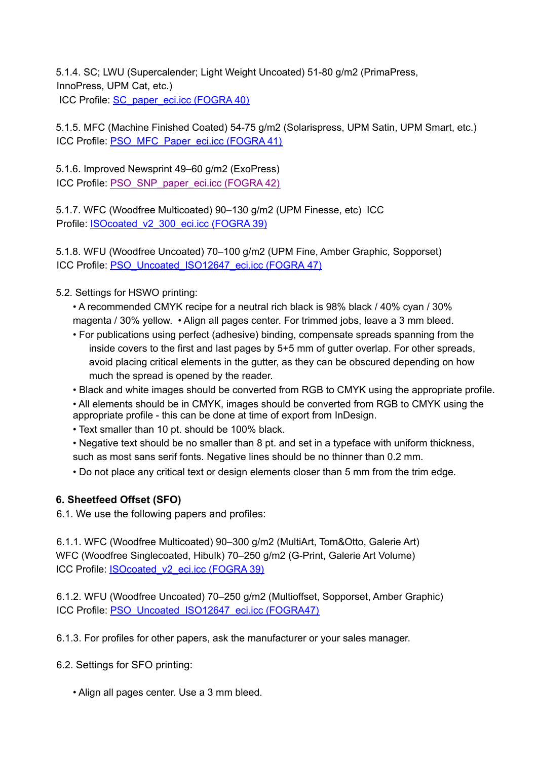5.1.4. SC; LWU (Supercalender; Light Weight Uncoated) 51-80 g/m2 (PrimaPress, InnoPress, UPM Cat, etc.) ICC Profile: SC\_paper\_eci.icc (FOGRA 40)

5.1.5. MFC (Machine Finished Coated) 54-75 g/m2 (Solarispress, UPM Satin, UPM Smart, etc.) ICC Profile: PSO\_MFC\_Paper\_eci.icc (FOGRA 41)

5.1.6. Improved Newsprint 49–60 g/m2 (ExoPress) ICC Profile: PSO\_SNP\_paper\_eci.icc (FOGRA 42)

5.1.7. WFC (Woodfree Multicoated) 90–130 g/m2 (UPM Finesse, etc) ICC Profile: ISOcoated\_v2\_300\_eci.icc (FOGRA 39)

5.1.8. WFU (Woodfree Uncoated) 70–100 g/m2 (UPM Fine, Amber Graphic, Sopporset) ICC Profile: PSO\_Uncoated\_ISO12647\_eci.icc (FOGRA 47)

5.2. Settings for HSWO printing:

- A recommended CMYK recipe for a neutral rich black is 98% black / 40% cyan / 30% magenta / 30% yellow. • Align all pages center. For trimmed jobs, leave a 3 mm bleed.
- For publications using perfect (adhesive) binding, compensate spreads spanning from the inside covers to the first and last pages by 5+5 mm of gutter overlap. For other spreads, avoid placing critical elements in the gutter, as they can be obscured depending on how much the spread is opened by the reader.
- Black and white images should be converted from RGB to CMYK using the appropriate profile.
- All elements should be in CMYK, images should be converted from RGB to CMYK using the appropriate profile - this can be done at time of export from InDesign.
- Text smaller than 10 pt. should be 100% black.
- Negative text should be no smaller than 8 pt. and set in a typeface with uniform thickness, such as most sans serif fonts. Negative lines should be no thinner than 0.2 mm.
- Do not place any critical text or design elements closer than 5 mm from the trim edge.

# **6. Sheetfeed Offset (SFO)**

6.1. We use the following papers and profiles:

6.1.1. WFC (Woodfree Multicoated) 90–300 g/m2 (MultiArt, Tom&Otto, Galerie Art) WFC (Woodfree Singlecoated, Hibulk) 70–250 g/m2 (G-Print, Galerie Art Volume) ICC Profile: ISOcoated v2 eci.icc (FOGRA 39)

6.1.2. WFU (Woodfree Uncoated) 70–250 g/m2 (Multioffset, Sopporset, Amber Graphic) ICC Profile: PSO\_Uncoated\_ISO12647\_eci.icc (FOGRA47)

6.1.3. For profiles for other papers, ask the manufacturer or your sales manager.

6.2. Settings for SFO printing:

• Align all pages center. Use a 3 mm bleed.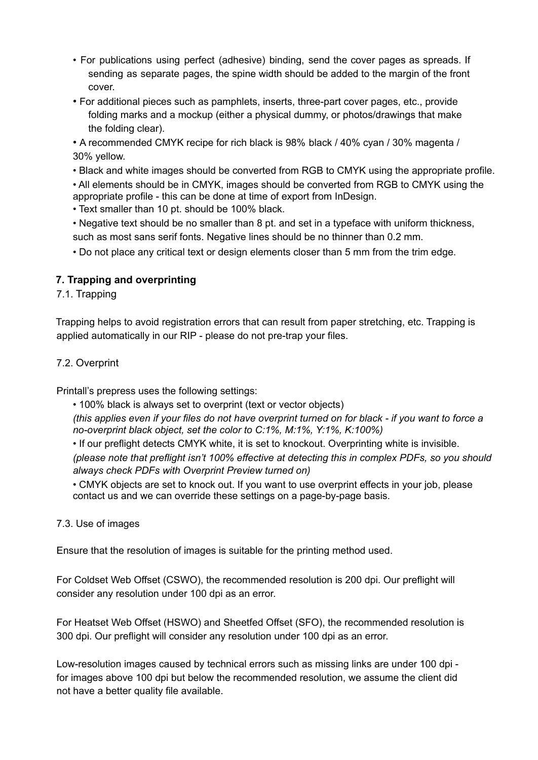- For publications using perfect (adhesive) binding, send the cover pages as spreads. If sending as separate pages, the spine width should be added to the margin of the front cover.
- For additional pieces such as pamphlets, inserts, three-part cover pages, etc., provide folding marks and a mockup (either a physical dummy, or photos/drawings that make the folding clear).

• A recommended CMYK recipe for rich black is 98% black / 40% cyan / 30% magenta / 30% yellow.

• Black and white images should be converted from RGB to CMYK using the appropriate profile.

• All elements should be in CMYK, images should be converted from RGB to CMYK using the appropriate profile - this can be done at time of export from InDesign.

• Text smaller than 10 pt. should be 100% black.

• Negative text should be no smaller than 8 pt. and set in a typeface with uniform thickness, such as most sans serif fonts. Negative lines should be no thinner than 0.2 mm.

• Do not place any critical text or design elements closer than 5 mm from the trim edge.

# **7. Trapping and overprinting**

7.1. Trapping

Trapping helps to avoid registration errors that can result from paper stretching, etc. Trapping is applied automatically in our RIP - please do not pre-trap your files.

# 7.2. Overprint

Printall's prepress uses the following settings:

• 100% black is always set to overprint (text or vector objects)

(this applies even if your files do not have overprint turned on for black - if you want to force a *no-overprint black object, set the color to C:1%, M:1%, Y:1%, K:100%)*

• If our preflight detects CMYK white, it is set to knockout. Overprinting white is invisible.

*(please note that preflight isn't 100% effective at detecting this in complex PDFs, so you should always check PDFs with Overprint Preview turned on)*

• CMYK objects are set to knock out. If you want to use overprint effects in your job, please contact us and we can override these settings on a page-by-page basis.

#### 7.3. Use of images

Ensure that the resolution of images is suitable for the printing method used.

For Coldset Web Offset (CSWO), the recommended resolution is 200 dpi. Our preflight will consider any resolution under 100 dpi as an error.

For Heatset Web Offset (HSWO) and Sheetfed Offset (SFO), the recommended resolution is 300 dpi. Our preflight will consider any resolution under 100 dpi as an error.

Low-resolution images caused by technical errors such as missing links are under 100 dpi for images above 100 dpi but below the recommended resolution, we assume the client did not have a better quality file available.